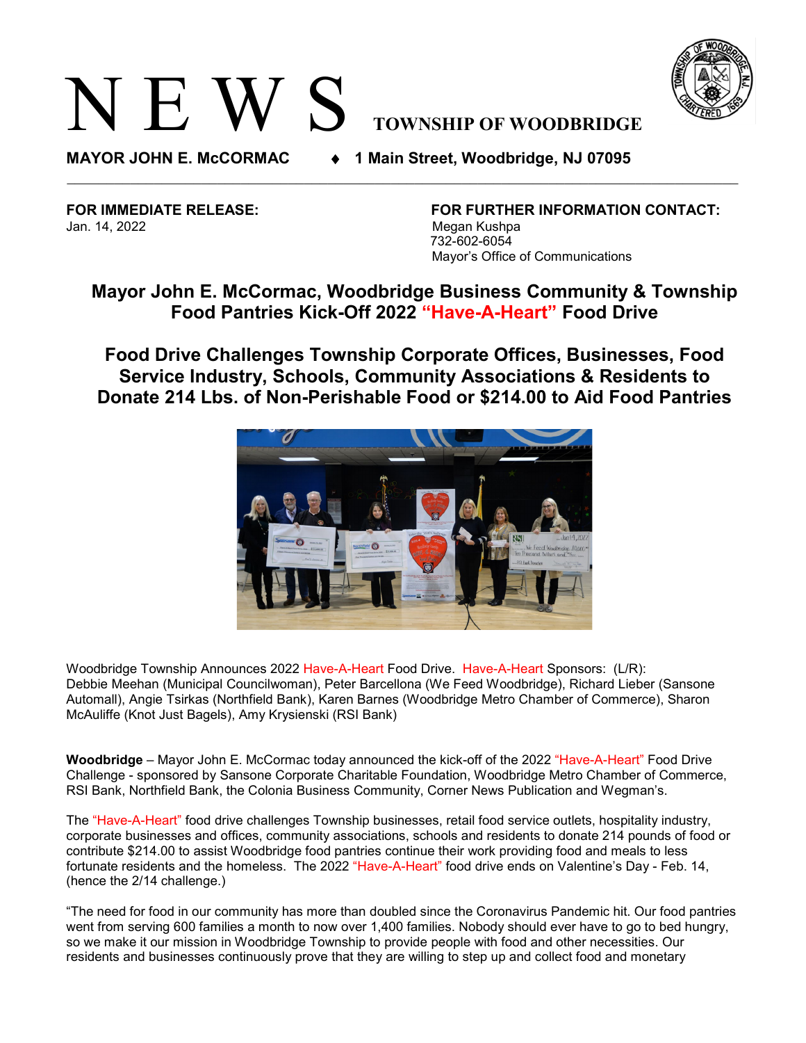## N E W S **TOWNSHIP OF WOODBRIDGE**



**MAYOR JOHN E. McCORMAC** ♦ **1 Main Street, Woodbridge, NJ 07095** 

Jan. 14, 2022 Megan Kushpa

**FOR IMMEDIATE RELEASE: FOR FURTHER INFORMATION CONTACT:** 732-602-6054 Mayor's Office of Communications

## **Mayor John E. McCormac, Woodbridge Business Community & Township Food Pantries Kick-Off 2022 "Have-A-Heart" Food Drive**

**Food Drive Challenges Township Corporate Offices, Businesses, Food Service Industry, Schools, Community Associations & Residents to Donate 214 Lbs. of Non-Perishable Food or \$214.00 to Aid Food Pantries**



Woodbridge Township Announces 2022 Have-A-Heart Food Drive. Have-A-Heart Sponsors: (L/R): Debbie Meehan (Municipal Councilwoman), Peter Barcellona (We Feed Woodbridge), Richard Lieber (Sansone Automall), Angie Tsirkas (Northfield Bank), Karen Barnes (Woodbridge Metro Chamber of Commerce), Sharon McAuliffe (Knot Just Bagels), Amy Krysienski (RSI Bank)

**Woodbridge** – Mayor John E. McCormac today announced the kick-off of the 2022 "Have-A-Heart" Food Drive Challenge - sponsored by Sansone Corporate Charitable Foundation, Woodbridge Metro Chamber of Commerce, RSI Bank, Northfield Bank, the Colonia Business Community, Corner News Publication and Wegman's.

The "Have-A-Heart" food drive challenges Township businesses, retail food service outlets, hospitality industry, corporate businesses and offices, community associations, schools and residents to donate 214 pounds of food or contribute \$214.00 to assist Woodbridge food pantries continue their work providing food and meals to less fortunate residents and the homeless. The 2022 "Have-A-Heart" food drive ends on Valentine's Day - Feb. 14, (hence the 2/14 challenge.)

"The need for food in our community has more than doubled since the Coronavirus Pandemic hit. Our food pantries went from serving 600 families a month to now over 1,400 families. Nobody should ever have to go to bed hungry, so we make it our mission in Woodbridge Township to provide people with food and other necessities. Our residents and businesses continuously prove that they are willing to step up and collect food and monetary